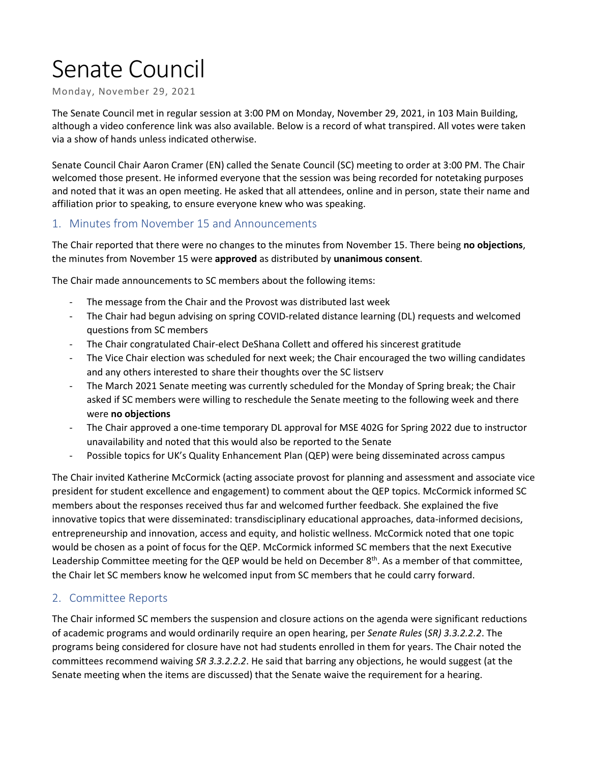# Senate Council

Monday, November 29, 2021

The Senate Council met in regular session at 3:00 PM on Monday, November 29, 2021, in 103 Main Building, although a video conference link was also available. Below is a record of what transpired. All votes were taken via a show of hands unless indicated otherwise.

Senate Council Chair Aaron Cramer (EN) called the Senate Council (SC) meeting to order at 3:00 PM. The Chair welcomed those present. He informed everyone that the session was being recorded for notetaking purposes and noted that it was an open meeting. He asked that all attendees, online and in person, state their name and affiliation prior to speaking, to ensure everyone knew who was speaking.

#### 1. Minutes from November 15 and Announcements

The Chair reported that there were no changes to the minutes from November 15. There being **no objections**, the minutes from November 15 were **approved** as distributed by **unanimous consent**.

The Chair made announcements to SC members about the following items:

- The message from the Chair and the Provost was distributed last week
- The Chair had begun advising on spring COVID-related distance learning (DL) requests and welcomed questions from SC members
- The Chair congratulated Chair-elect DeShana Collett and offered his sincerest gratitude
- The Vice Chair election was scheduled for next week; the Chair encouraged the two willing candidates and any others interested to share their thoughts over the SC listserv
- The March 2021 Senate meeting was currently scheduled for the Monday of Spring break; the Chair asked if SC members were willing to reschedule the Senate meeting to the following week and there were **no objections**
- The Chair approved a one-time temporary DL approval for MSE 402G for Spring 2022 due to instructor unavailability and noted that this would also be reported to the Senate
- Possible topics for UK's Quality Enhancement Plan (QEP) were being disseminated across campus

The Chair invited Katherine McCormick (acting associate provost for planning and assessment and associate vice president for student excellence and engagement) to comment about the QEP topics. McCormick informed SC members about the responses received thus far and welcomed further feedback. She explained the five innovative topics that were disseminated: transdisciplinary educational approaches, data-informed decisions, entrepreneurship and innovation, access and equity, and holistic wellness. McCormick noted that one topic would be chosen as a point of focus for the QEP. McCormick informed SC members that the next Executive Leadership Committee meeting for the QEP would be held on December 8<sup>th</sup>. As a member of that committee, the Chair let SC members know he welcomed input from SC members that he could carry forward.

## 2. Committee Reports

The Chair informed SC members the suspension and closure actions on the agenda were significant reductions of academic programs and would ordinarily require an open hearing, per *Senate Rules* (*SR) 3.3.2.2.2*. The programs being considered for closure have not had students enrolled in them for years. The Chair noted the committees recommend waiving *SR 3.3.2.2.2*. He said that barring any objections, he would suggest (at the Senate meeting when the items are discussed) that the Senate waive the requirement for a hearing.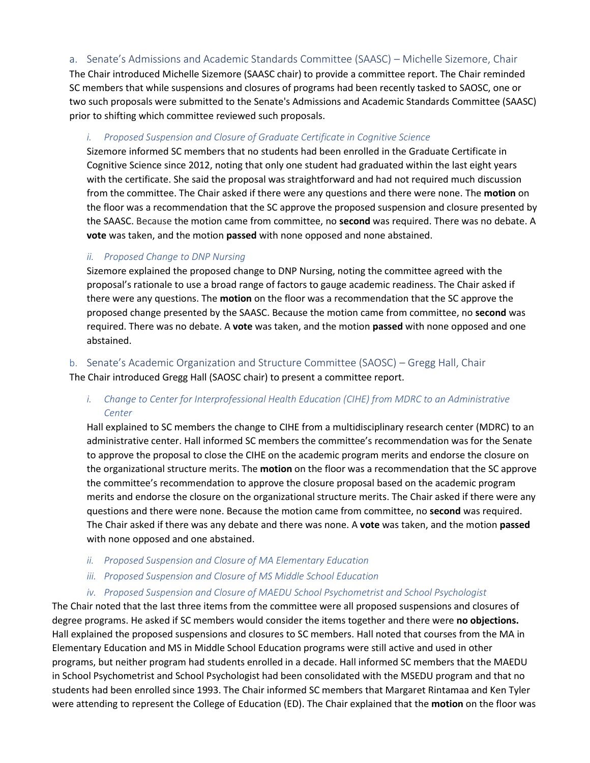a. Senate's Admissions and Academic Standards Committee (SAASC) – Michelle Sizemore, Chair

The Chair introduced Michelle Sizemore (SAASC chair) to provide a committee report. The Chair reminded SC members that while suspensions and closures of programs had been recently tasked to SAOSC, one or two such proposals were submitted to the Senate's Admissions and Academic Standards Committee (SAASC) prior to shifting which committee reviewed such proposals.

#### *i. Proposed Suspension and Closure of Graduate Certificate in Cognitive Science*

Sizemore informed SC members that no students had been enrolled in the Graduate Certificate in Cognitive Science since 2012, noting that only one student had graduated within the last eight years with the certificate. She said the proposal was straightforward and had not required much discussion from the committee. The Chair asked if there were any questions and there were none. The **motion** on the floor was a recommendation that the SC approve the proposed suspension and closure presented by the SAASC. Because the motion came from committee, no **second** was required. There was no debate. A **vote** was taken, and the motion **passed** with none opposed and none abstained.

#### *ii. Proposed Change to DNP Nursing*

Sizemore explained the proposed change to DNP Nursing, noting the committee agreed with the proposal's rationale to use a broad range of factors to gauge academic readiness. The Chair asked if there were any questions. The **motion** on the floor was a recommendation that the SC approve the proposed change presented by the SAASC. Because the motion came from committee, no **second** was required. There was no debate. A **vote** was taken, and the motion **passed** with none opposed and one abstained.

b. Senate's Academic Organization and Structure Committee (SAOSC) – Gregg Hall, Chair

The Chair introduced Gregg Hall (SAOSC chair) to present a committee report.

## *i.* Change to Center for Interprofessional Health Education (CIHE) from MDRC to an Administrative *Center*

Hall explained to SC members the change to CIHE from a multidisciplinary research center (MDRC) to an administrative center. Hall informed SC members the committee's recommendation was for the Senate to approve the proposal to close the CIHE on the academic program merits and endorse the closure on the organizational structure merits. The **motion** on the floor was a recommendation that the SC approve the committee's recommendation to approve the closure proposal based on the academic program merits and endorse the closure on the organizational structure merits. The Chair asked if there were any questions and there were none. Because the motion came from committee, no **second** was required. The Chair asked if there was any debate and there was none. A **vote** was taken, and the motion **passed** with none opposed and one abstained.

- *ii. Proposed Suspension and Closure of MA Elementary Education*
- *iii. Proposed Suspension and Closure of MS Middle School Education*
- *iv. Proposed Suspension and Closure of MAEDU School Psychometrist and School Psychologist*

The Chair noted that the last three items from the committee were all proposed suspensions and closures of degree programs. He asked if SC members would consider the items together and there were **no objections.** Hall explained the proposed suspensions and closures to SC members. Hall noted that courses from the MA in Elementary Education and MS in Middle School Education programs were still active and used in other programs, but neither program had students enrolled in a decade. Hall informed SC members that the MAEDU in School Psychometrist and School Psychologist had been consolidated with the MSEDU program and that no students had been enrolled since 1993. The Chair informed SC members that Margaret Rintamaa and Ken Tyler were attending to represent the College of Education (ED). The Chair explained that the **motion** on the floor was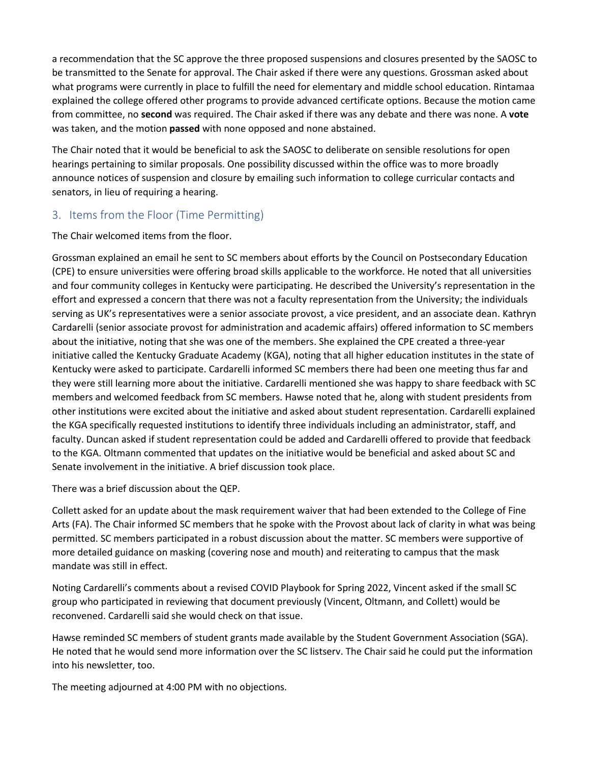a recommendation that the SC approve the three proposed suspensions and closures presented by the SAOSC to be transmitted to the Senate for approval. The Chair asked if there were any questions. Grossman asked about what programs were currently in place to fulfill the need for elementary and middle school education. Rintamaa explained the college offered other programs to provide advanced certificate options. Because the motion came from committee, no **second** was required. The Chair asked if there was any debate and there was none. A **vote** was taken, and the motion **passed** with none opposed and none abstained.

The Chair noted that it would be beneficial to ask the SAOSC to deliberate on sensible resolutions for open hearings pertaining to similar proposals. One possibility discussed within the office was to more broadly announce notices of suspension and closure by emailing such information to college curricular contacts and senators, in lieu of requiring a hearing.

# 3. Items from the Floor (Time Permitting)

The Chair welcomed items from the floor.

Grossman explained an email he sent to SC members about efforts by the Council on Postsecondary Education (CPE) to ensure universities were offering broad skills applicable to the workforce. He noted that all universities and four community colleges in Kentucky were participating. He described the University's representation in the effort and expressed a concern that there was not a faculty representation from the University; the individuals serving as UK's representatives were a senior associate provost, a vice president, and an associate dean. Kathryn Cardarelli (senior associate provost for administration and academic affairs) offered information to SC members about the initiative, noting that she was one of the members. She explained the CPE created a three-year initiative called the Kentucky Graduate Academy (KGA), noting that all higher education institutes in the state of Kentucky were asked to participate. Cardarelli informed SC members there had been one meeting thus far and they were still learning more about the initiative. Cardarelli mentioned she was happy to share feedback with SC members and welcomed feedback from SC members. Hawse noted that he, along with student presidents from other institutions were excited about the initiative and asked about student representation. Cardarelli explained the KGA specifically requested institutions to identify three individuals including an administrator, staff, and faculty. Duncan asked if student representation could be added and Cardarelli offered to provide that feedback to the KGA. Oltmann commented that updates on the initiative would be beneficial and asked about SC and Senate involvement in the initiative. A brief discussion took place.

There was a brief discussion about the QEP.

Collett asked for an update about the mask requirement waiver that had been extended to the College of Fine Arts (FA). The Chair informed SC members that he spoke with the Provost about lack of clarity in what was being permitted. SC members participated in a robust discussion about the matter. SC members were supportive of more detailed guidance on masking (covering nose and mouth) and reiterating to campus that the mask mandate was still in effect.

Noting Cardarelli's comments about a revised COVID Playbook for Spring 2022, Vincent asked if the small SC group who participated in reviewing that document previously (Vincent, Oltmann, and Collett) would be reconvened. Cardarelli said she would check on that issue.

Hawse reminded SC members of student grants made available by the Student Government Association (SGA). He noted that he would send more information over the SC listserv. The Chair said he could put the information into his newsletter, too.

The meeting adjourned at 4:00 PM with no objections.